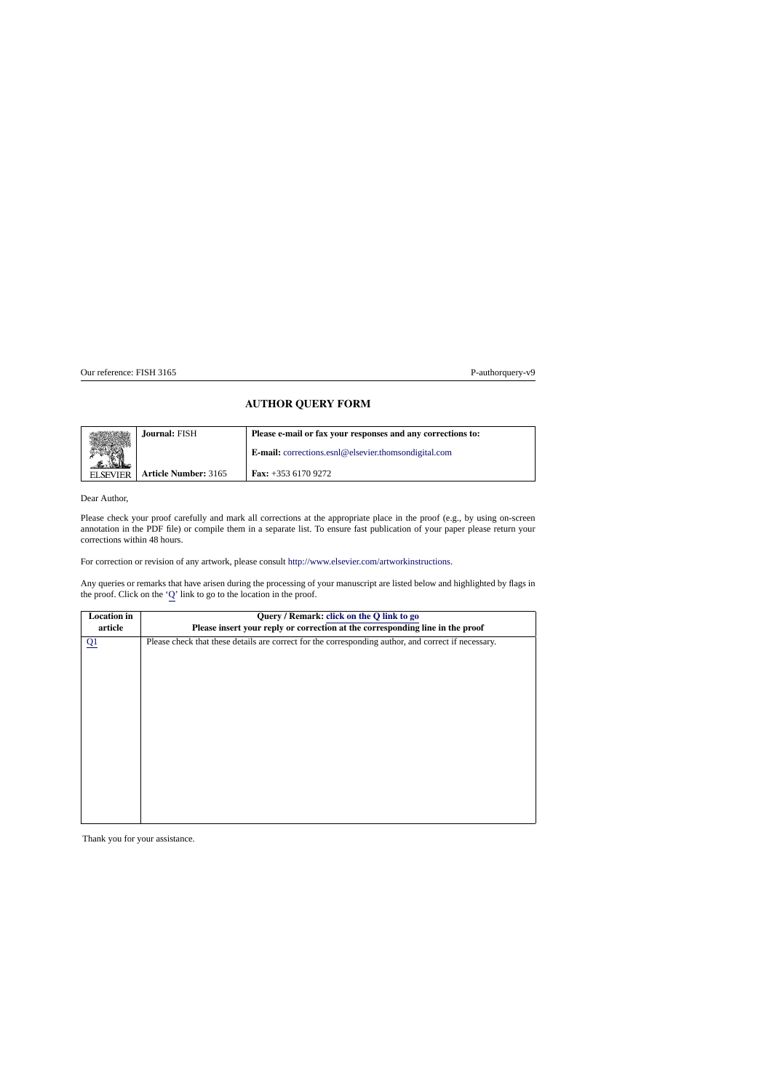## **AUTHOR QUERY FORM**

|                  | Journal: FISH               | Please e-mail or fax your responses and any corrections to: |  |  |
|------------------|-----------------------------|-------------------------------------------------------------|--|--|
|                  |                             | <b>E-mail:</b> corrections.esnl@elsevier.thomsondigital.com |  |  |
| <b>FI SEVIER</b> | <b>Article Number: 3165</b> | <b>Fax:</b> $+35361709272$                                  |  |  |

Dear Author,

Please check your proof carefully and mark all corrections at the appropriate place in the proof (e.g., by using on-screen annotation in the PDF file) or compile them in a separate list. To ensure fast publication of your paper please return your corrections within 48 hours.

For correction or revision of any artwork, please consult [http://www.elsevier.com/artworkinstructions.](http://www.elsevier.com/artworkinstructions)

Any queries or remarks that have arisen during the processing of your manuscript are listed below and highlighted by flags in the proof. Click on the 'Q' link to go to the location in the proof.

| <b>Location</b> in<br>article | Query / Remark: click on the Q link to go<br>Please insert your reply or correction at the corresponding line in the proof |  |  |  |  |  |
|-------------------------------|----------------------------------------------------------------------------------------------------------------------------|--|--|--|--|--|
|                               |                                                                                                                            |  |  |  |  |  |
| Q1                            | Please check that these details are correct for the corresponding author, and correct if necessary.                        |  |  |  |  |  |
|                               |                                                                                                                            |  |  |  |  |  |
|                               |                                                                                                                            |  |  |  |  |  |
|                               |                                                                                                                            |  |  |  |  |  |
|                               |                                                                                                                            |  |  |  |  |  |
|                               |                                                                                                                            |  |  |  |  |  |
|                               |                                                                                                                            |  |  |  |  |  |
|                               |                                                                                                                            |  |  |  |  |  |
|                               |                                                                                                                            |  |  |  |  |  |
|                               |                                                                                                                            |  |  |  |  |  |
|                               |                                                                                                                            |  |  |  |  |  |
|                               |                                                                                                                            |  |  |  |  |  |
|                               |                                                                                                                            |  |  |  |  |  |
|                               |                                                                                                                            |  |  |  |  |  |
|                               |                                                                                                                            |  |  |  |  |  |
|                               |                                                                                                                            |  |  |  |  |  |
|                               |                                                                                                                            |  |  |  |  |  |
|                               |                                                                                                                            |  |  |  |  |  |

<span id="page-0-0"></span>Thank you for your assistance.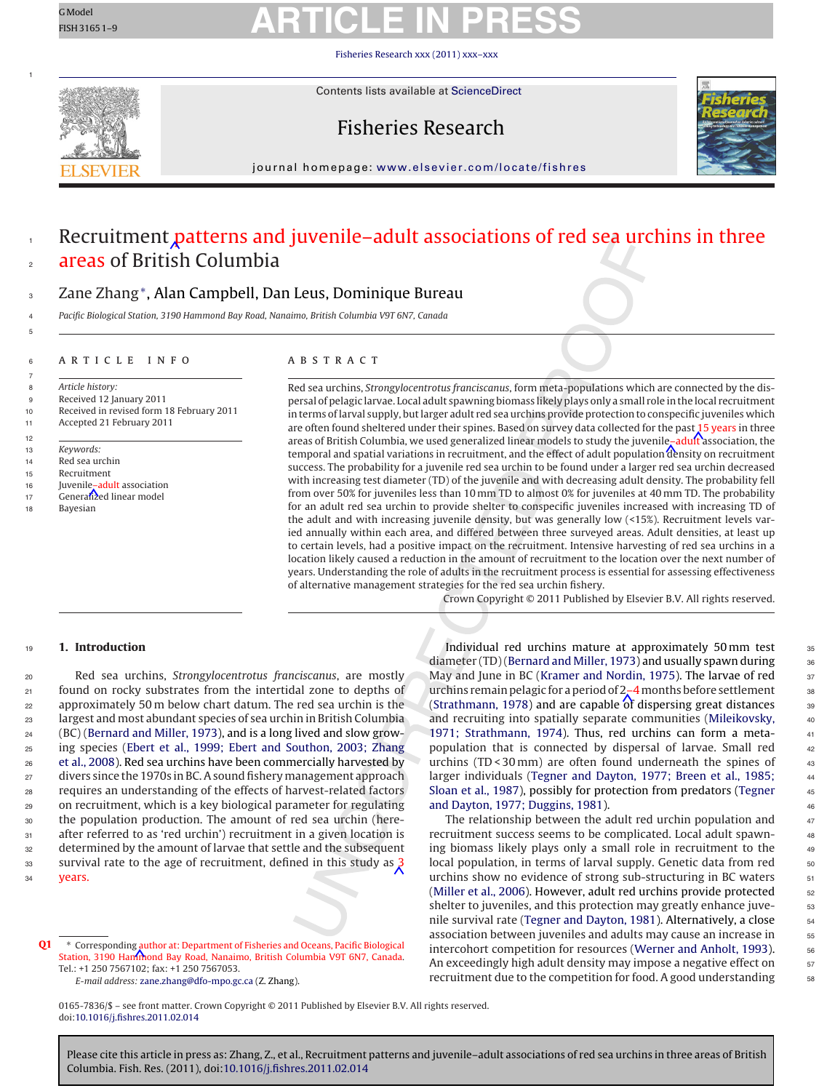1

1 2

5

7

12

## GModel **ARTICLE IN PRESS**

Fisheries Research [xxx \(2011\) xxx–xxx](dx.doi.org/10.1016/j.fishres.2011.02.014)



Contents lists available at [ScienceDirect](http://www.sciencedirect.com/science/journal/01657836)

## Fisheries Research



journal homepage: [www.elsevier.com/locate/fishres](http://www.elsevier.com/locate/fishres)

## Recruitment patterns and juvenile–adult associations of red sea urchins in three areas of British Columbia

## Zane Zhang\*, Alan Campbell, Dan Leus, Dominique Bureau

4 Pacific Biological Station, 3190 Hammond Bay Road, Nanaimo, British Columbia V9T 6N7, Canada

### <sup>6</sup> article info

8 Article history:

9 Received 12 January 2011 10 Received in revised form 18 February 2011 11 Accepted 21 February 2011

- <span id="page-1-0"></span>13 Keywords:
- 14 Red sea urchin
- 15 Recruitment
- 16 Juvenile–adult association
- 17 Generalized linear model
- 18 Bayesian

### **ABSTRACT**

Red sea urchins, Strongylocentrotus franciscanus, form meta-populations which are connected by the dispersal of pelagic larvae. Local adult spawning biomass likely plays only a small role in the local recruitment in terms of larval supply, but larger adult red sea urchins provide protection to conspecific juveniles which are often found sheltered under their spines. Based on survey data collected for the past 15 years in three areas of British Columbia, we used generalized linear models to study the juvenile-adult association, the temporal and spatial variations in recruitment, and the effect of adult population density on recruitment success. The probability for a juvenile red sea urchin to be found under a larger red sea urchin decreased with increasing test diameter (TD) of the juvenile and with decreasing adult density. The probability fell from over 50% for juveniles less than 10 mm TD to almost 0% for juveniles at 40 mm TD. The probability for an adult red sea urchin to provide shelter to conspecific juveniles increased with increasing TD of the adult and with increasing juvenile density, but was generally low (<15%). Recruitment levels varied annually within each area, and differed between three surveyed areas. Adult densities, at least up to certain levels, had a positive impact on the recruitment. Intensive harvesting of red sea urchins in a location likely caused a reduction in the amount of recruitment to the location over the next number of years. Understanding the role of adults in the recruitment process is essential for assessing effectiveness of alternative management strategies for the red sea urchin fishery.

Crown Copyright © 2011 Published by Elsevier B.V. All rights reserved.

#### <sup>19</sup> **1. Introduction**

 Red sea urchins, Strongylocentrotus franciscanus, are mostly found on rocky substrates from the intertidal zone to depths of approximately 50 m below chart datum. The red sea urchin is the largest and most abundant species of sea urchin in British Columbia (BC) ([Bernard and Miller, 1973\),](#page-9-0) and is a long lived and slow grow- ing species [\(Ebert et al., 1999; Ebert and Southon, 2003; Zhang](#page-9-0) [et al., 2008\).](#page-9-0) Red sea urchins have been commercially harvested by divers since the 1970s in BC. A sound fishery management approach requires an understanding of the effects of harvest-related factors on recruitment, which is a key biological parameter for regulating the population production. The amount of red sea urchin (here-31 after referred to as 'red urchin') recruitment in a given location is determined by the amount of larvae that settle and the subsequent survival rate to the age of recruitment, defined in this study as  $\frac{3}{2}$ <sup>34</sup> years.

**[Q1](#page-0-0)** ∗ Corresponding author at: Department of Fisheries and Oceans, Pacific Biological Station, 3190 Hammond Bay Road, Nanaimo, British Columbia V9T 6N7, Canada. Tel.: +1 250 7567102; fax: +1 250 7567053.

E-mail address: [zane.zhang@dfo-mpo.gc.ca](mailto:zane.zhang@dfo-mpo.gc.ca) (Z. Zhang).

Individual red urchins mature at approximately 50 mm test 35 diameter (TD) ([Bernard and Miller, 1973\) a](#page-9-0)nd usually spawn during May and June in BC [\(Kramer and Nordin, 1975\).](#page-9-0) The larvae of red urchins remain pelagic for a period of  $2-4$  months before settlement [\(Strathmann, 1978\)](#page-9-0) and are capable of dispersing great distances and recruiting into spatially separate communities ([Mileikovsky,](#page-9-0) [1971; Strathmann, 1974\).](#page-9-0) Thus, red urchins can form a meta-<br>41 population that is connected by dispersal of larvae. Small red urchins  $(TD < 30$  mm) are often found underneath the spines of larger individuals ([Tegner and Dayton, 1977; Breen et al., 1985;](#page-9-0) <sup>44</sup> [Sloan et al., 1987\),](#page-9-0) possibly for protection from predators ([Tegner](#page-9-0)[and Dayton, 1977; Duggins, 1981\).](#page-9-0)

The relationship between the adult red urchin population and  $47$ recruitment success seems to be complicated. Local adult spawn- <sup>48</sup> ing biomass likely plays only a small role in recruitment to the  $\frac{49}{49}$ local population, in terms of larval supply. Genetic data from red  $_{50}$ urchins show no evidence of strong sub-structuring in BC waters  $51$ [\(Miller et al., 2006\).](#page-9-0) However, adult red urchins provide protected  $\frac{52}{2}$ shelter to juveniles, and this protection may greatly enhance juve-<br>53 nile survival rate ([Tegner and Dayton, 1981\).](#page-9-0) Alternatively, a close  $_{54}$ association between juveniles and adults may cause an increase in  $\frac{55}{55}$ intercohort competition for resources ([Werner and Anholt, 1993\).](#page-9-0)  $\frac{56}{60}$ An exceedingly high adult density may impose a negative effect on  $\frac{57}{2}$ recruitment due to the competition for food. A good understanding  $\frac{58}{58}$ 

0165-7836/\$ – see front matter. Crown Copyright © 2011 Published by Elsevier B.V. All rights reserved. doi:[10.1016/j.fishres.2011.02.014](dx.doi.org/10.1016/j.fishres.2011.02.014)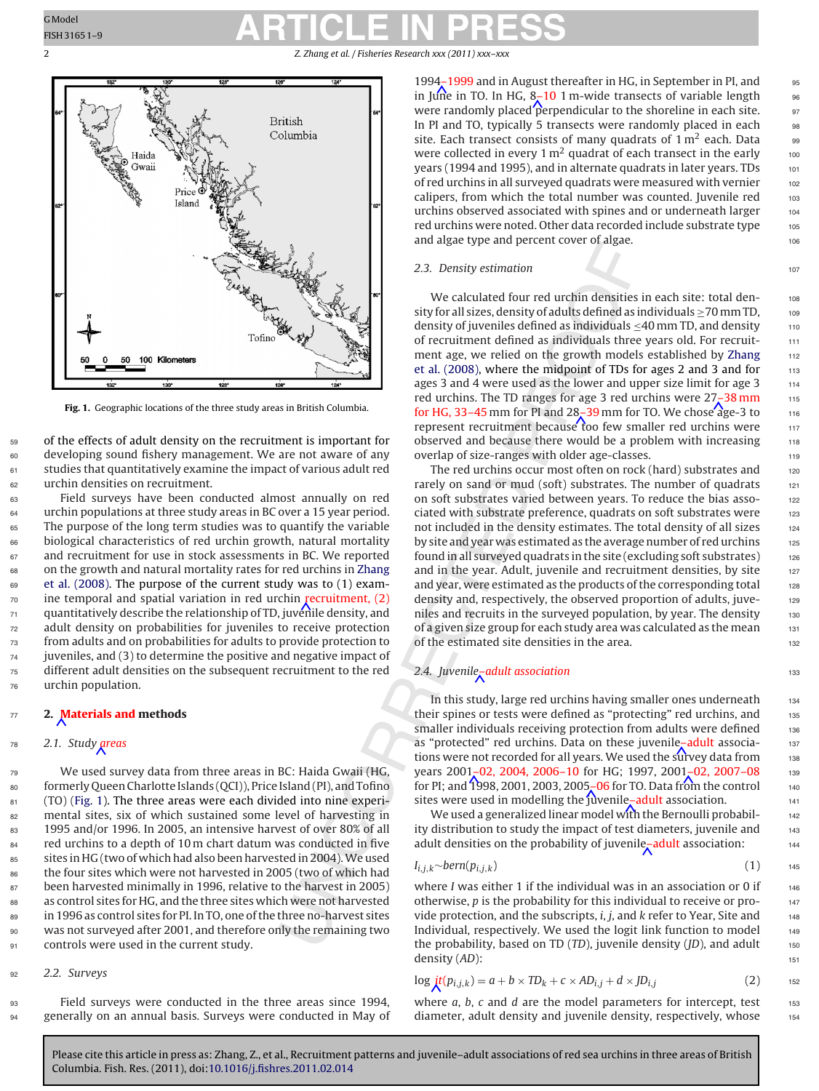<span id="page-2-0"></span>2 Z. Zhang et al. / Fisheries Research *xxx (2011) xxx–xxx*



**Fig. 1.** Geographic locations of the three study areas in British Columbia.

 of the effects of adult density on the recruitment is important for developing sound fishery management. We are not aware of any studies that quantitatively examine the impact of various adult red urchin densities on recruitment.

 Field surveys have been conducted almost annually on red urchin populations at three study areas in BC over a 15 year period. The purpose of the long term studies was to quantify the variable biological characteristics of red urchin growth, natural mortality and recruitment for use in stock assessments in BC. We reported on the growth and natural mortality rates for red urchins in [Zhang](#page-9-0) [et al. \(2008\).](#page-9-0) The purpose of the current study was to (1) exam- ine temporal and spatial variation in red urchin recruitment,  $(2)$  quantitatively describe the relationship of TD, juvénile density, and adult density on probabilities for juveniles to receive protection from adults and on probabilities for adults to provide protection to juveniles, and (3) to determine the positive and negative impact of different adult densities on the subsequent recruitment to the red urchin population.

## <sup>77</sup> **2. Materials and methods**

## 78 2.1. Study greas

<sup>79</sup> We used survey data from three areas in BC: Haida Gwaii (HG, 80 formerly Queen Charlotte Islands (QCI)), Price Island (PI), and Tofino 81 (TO) (Fig. 1). The three areas were each divided into nine experi-<sup>82</sup> mental sites, six of which sustained some level of harvesting in 83 1995 and/or 1996. In 2005, an intensive harvest of over 80% of all 84 red urchins to a depth of 10 m chart datum was conducted in five <sup>85</sup> sites in HG (two of which had also been harvested in 2004).We used 86 the four sites which were not harvested in 2005 (two of which had 87 been harvested minimally in 1996, relative to the harvest in 2005) <sup>88</sup> as control sites for HG, and the three sites which were not harvested <sup>89</sup> in 1996 as control sites for PI. In TO, one of the three no-harvest sites <sup>90</sup> was not surveyed after 2001, and therefore only the remaining two <sup>91</sup> controls were used in the current study.

### <sup>92</sup> 2.2. Surveys

<sup>93</sup> Field surveys were conducted in the three areas since 1994, <sup>94</sup> generally on an annual basis. Surveys were conducted in May of

1994–1999 and in August thereafter in HG, in September in PI, and 95 in June in TO. In HG,  $8-10$  1 m-wide transects of variable length  $\frac{1}{96}$ were randomly placed perpendicular to the shoreline in each site.  $\frac{97}{2}$ In PI and TO, typically 5 transects were randomly placed in each 98 site. Each transect consists of many quadrats of  $1 \text{ m}^2$  each. Data  $\qquad$  99 were collected in every 1  $m<sup>2</sup>$  quadrat of each transect in the early  $1000$ years (1994 and 1995), and in alternate quadrats in later years. TDs 101 of red urchins in all surveyed quadrats were measured with vernier  $102$ calipers, from which the total number was counted. Juvenile red  $103$ urchins observed associated with spines and or underneath larger  $104$ red urchins were noted. Other data recorded include substrate type 105 and algae type and percent cover of algae. The manufacturer of algae.

### 2.3. Density estimation  $107$

We calculated four red urchin densities in each site: total density for all sizes, density of adults defined as individuals  $>70$  mm TD,  $_{108}$ density of juveniles defined as individuals  $\leq$ 40 mm TD, and density  $110$ of recruitment defined as individuals three years old. For recruit-<br>111 ment age, we relied on the growth models established by [Zhang](#page-9-0)  $112$ [et al. \(2008\), w](#page-9-0)here the midpoint of TDs for ages 2 and 3 and for  $113$ ages 3 and 4 were used as the lower and upper size limit for age  $3<sub>114</sub>$ red urchins. The TD ranges for age 3 red urchins were  $27-38$  mm  $115$ for HG, 33–45 mm for PI and  $28<sub>7</sub>$  39 mm for TO. We chose age-3 to  $116$ represent recruitment because too few smaller red urchins were 117 observed and because there would be a problem with increasing 118 overlap of size-ranges with older age-classes. The mass of the state of the state of the state of the state of

The red urchins occur most often on rock (hard) substrates and 120 rarely on sand or mud (soft) substrates. The number of quadrats  $121$ on soft substrates varied between years. To reduce the bias asso-<br>122 ciated with substrate preference, quadrats on soft substrates were 123 not included in the density estimates. The total density of all sizes 124 by site and year was estimated as the average number of red urchins <sub>125</sub> found in all surveyed quadrats in the site (excluding soft substrates) <sup>126</sup> and in the year. Adult, juvenile and recruitment densities, by site  $127$ and year, were estimated as the products of the corresponding total 128 density and, respectively, the observed proportion of adults, juve- <sup>129</sup> niles and recruits in the surveyed population, by year. The density  $130$ of a given size group for each study area was calculated as the mean 131 of the estimated site densities in the area. 132

### 2.4. Juvenile<sub> $\lambda$ </sub> adult association 133

In this study, large red urchins having smaller ones underneath 134 their spines or tests were defined as "protecting" red urchins, and 135 smaller individuals receiving protection from adults were defined 136 as "protected" red urchins. Data on these juvenile<sub> $\tau$ </sub> adult associa-<br><sup>137</sup> tions were not recorded for all years. We used the survey data from  $138$ years 2001-02, 2004, 2006-10 for HG; 1997, 2001-02, 2007-08 139 for PI; and 1998, 2001, 2003, 2005–06 for TO. Data from the control  $_{140}$ sites were used in modelling the  $j$ uvenile–adult association.  $141$ 

We used a generalized linear model with the Bernoulli probabil- $142$ ity distribution to study the impact of test diameters, juvenile and 143 adult densities on the probability of juvenile<sub> $\tau$ </sub> adult association:  $144$ 

$$
I_{i,j,k} \sim \text{bern}(p_{i,j,k}) \tag{1}
$$

where I was either 1 if the individual was in an association or 0 if  $_{146}$ otherwise, p is the probability for this individual to receive or pro- <sup>147</sup> vide protection, and the subscripts, *i, j*, and *k* refer to Year, Site and  $_{148}$ Individual, respectively. We used the logit link function to model 149 the probability, based on TD  $(TD)$ , juvenile density  $(JD)$ , and adult  $150$ density (AD): 151

$$
\log \text{it}(p_{i,j,k}) = a + b \times TD_k + c \times AD_{i,j} + d \times JD_{i,j} \tag{2}
$$

where  $a$ ,  $b$ ,  $c$  and  $d$  are the model parameters for intercept, test  $153$ diameter, adult density and juvenile density, respectively, whose  $154$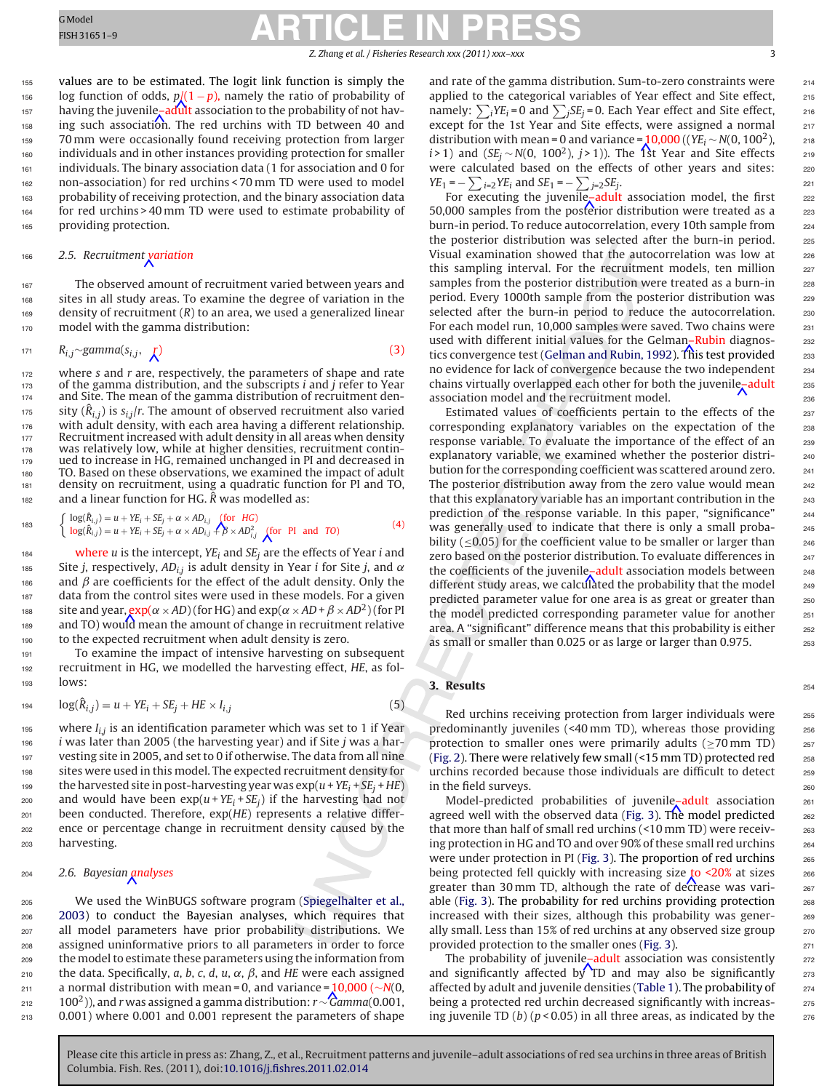<span id="page-3-0"></span> values are to be estimated. The logit link function is simply the 156 log function of odds,  $p/(1-p)$ , namely the ratio of probability of hav-<br>157 having the juvenile–adult association to the probability of not havhaving the juvenile-adult association to the probability of not hav-158 ing such association. The red urchins with TD between 40 and 70 mm were occasionally found receiving protection from larger individuals and in other instances providing protection for smaller individuals. The binary association data (1 for association and 0 for non-association) for red urchins < 70 mm TD were used to model probability of receiving protection, and the binary association data for red urchins > 40 mm TD were used to estimate probability of providing protection.

### 166 2.5. Recruitment *xariation*

 The observed amount of recruitment varied between years and sites in all study areas. To examine the degree of variation in the density of recruitment  $(R)$  to an area, we used a generalized linear model with the gamma distribution:

$$
R_{i,j} \sim gamma(s_{i,j}, \tbinom{\cdot}{k})
$$
\n
$$
(3)
$$

 $172$  where s and r are, respectively, the parameters of shape and rate  $173$  of the gamma distribution, and the subscripts *i* and *j* refer to Year 174 and Site. The mean of the gamma distribution of recruitment den-<sup>175</sup> sity  $(\hat{R}_{i,j})$  is  $s_{i,j}/r$ . The amount of observed recruitment also varied <sup>176</sup> with adult density, with each area having a different relationship. 177 Recruitment increased with adult density in all areas when density <sup>178</sup> was relatively low, while at higher densities, recruitment continued to increase in HG, remained unchanged in PI and decreased in <sup>180</sup> TO. Based on these observations, we examined the impact of adult <sup>181</sup> density on recruitment, using a quadratic function for PI and TO, 182 and a linear function for HG.  $\hat{R}$  was modelled as:

$$
183 \qquad \begin{cases} \log(\hat{R}_{i,j}) = u + Y E_i + S E_j + \alpha \times AD_{i,j} & \text{(for HG)}\\ \log(\hat{R}_{i,j}) = u + Y E_i + S E_j + \alpha \times AD_{i,j} + \beta \times AD_{i,j} & \text{(for PI and TO)} \end{cases} \tag{4}
$$

184 where u is the intercept,  $YE_i$  and  $SE_j$  are the effects of Year *i* and 185 Site j, respectively,  $AD_{ij}$  is adult density in Year *i* for Site j, and  $\alpha$ 186 and  $\beta$  are coefficients for the effect of the adult density. Only the 187 data from the control sites were used in these models. For a given site and year,  $\exp(\alpha \times AD)$  (for HG) and  $\exp(\alpha \times AD + \beta \times AD^2)$  (for PI<br>as and TO) would mean the amount of change in recruitment relative and TO) would mean the amount of change in recruitment relative <sup>190</sup> to the expected recruitment when adult density is zero.

<sup>191</sup> To examine the impact of intensive harvesting on subsequent <sup>192</sup> recruitment in HG, we modelled the harvesting effect, HE, as fol-<sup>193</sup> lows:

$$
log(\hat{R}_{i,j}) = u + YE_i + SE_j + HE \times I_{i,j}
$$
\n
$$
(5)
$$

 where  $I_{i,j}$  is an identification parameter which was set to 1 if Year i was later than 2005 (the harvesting year) and if Site j was a har- vesting site in 2005, and set to 0 if otherwise. The data from all nine sites were used in this model. The expected recruitment density for 199 the harvested site in post-harvesting year was  $\exp(u + YE_i + SE_i + HE)$ 200 and would have been  $exp(u + YE_i + SE_j)$  if the harvesting had not been conducted. Therefore, exp(HE) represents a relative differ- ence or percentage change in recruitment density caused by the harvesting.

### 204 2.6. Bayesian analyses

 We used the WinBUGS software program ([Spiegelhalter et al.,](#page-9-0) [2003\)](#page-9-0) to conduct the Bayesian analyses, which requires that all model parameters have prior probability distributions. We assigned uninformative priors to all parameters in order to force the model to estimate these parameters using the information from 210 the data. Specifically, a, b, c, d, u,  $\alpha$ ,  $\beta$ , and HE were each assigned 211 a normal distribution with mean = 0, and variance = 10,000 (∼N(0,<br>212 100<sup>2</sup>)), and r was assigned a gamma distribution: r ∼ *Camma* (0.001, )), and r was assigned a gamma distribution: r  $\sim$  Gamma(0.001, 213 0.001) where 0.001 and 0.001 represent the parameters of shape 0.001) where 0.001 and 0.001 represent the parameters of shape and rate of the gamma distribution. Sum-to-zero constraints were 214 applied to the categorical variables of Year effect and Site effect, 215 namely:  $\sum_i Y E_i = 0$  and  $\sum_j S E_j = 0$ . Each Year effect and Site effect, 216 except for the 1st Year and Site effects, were assigned a normal 217 distribution with mean = 0 and variance = 10,000 ((YE<sub>i</sub> ∼ N(0, 100<sup>2</sup>), 218<br>*i* > 1) and (SE<sub>i</sub> ∼ N(0, 100<sup>2</sup>), *i* > 1)). The 1st Year and Site effects *i* > 1) and (SE<sub>j</sub> ∼ N(0, 100<sup>2</sup>), *j* > 1)). The 1st Year and Site effects 219<br>were calculated based on the effects of other years and sites: were calculated based on the effects of other years and sites:  $YE_1 = -\sum_{i=2} YE_i$  and  $SE_1 = -\sum_{j=2} SE_j$ .<br>For executing the invenile-adult association model, the first 221

For executing the juvenile<sub>z</sub>-adult association model, the first 50,000 samples from the posterior distribution were treated as a  $223$ burn-in period. To reduce autocorrelation, every 10th sample from <sub>224</sub> the posterior distribution was selected after the burn-in period. 225 Visual examination showed that the autocorrelation was low at 226 this sampling interval. For the recruitment models, ten million 227 samples from the posterior distribution were treated as a burn-in 228 period. Every 1000th sample from the posterior distribution was 229 selected after the burn-in period to reduce the autocorrelation. 230 For each model run, 10,000 samples were saved. Two chains were 231 used with different initial values for the Gelman-Rubin diagnos-<br>232 tics convergence test [\(Gelman and Rubin, 1992\).](#page-9-0) This test provided 233 no evidence for lack of convergence because the two independent 234 chains virtually overlapped each other for both the juvenile<sub>z</sub> adult  $235$ association model and the recruitment model.

Estimated values of coefficients pertain to the effects of the 237 corresponding explanatory variables on the expectation of the 238 response variable. To evaluate the importance of the effect of an 239 explanatory variable, we examined whether the posterior distri-<br>
<sub>240</sub> bution for the corresponding coefficient was scattered around zero.  $241$ The posterior distribution away from the zero value would mean 242 that this explanatory variable has an important contribution in the  $_{243}$ prediction of the response variable. In this paper, "significance" <sup>244</sup> was generally used to indicate that there is only a small proba-<br>245 bility ( $\leq$ 0.05) for the coefficient value to be smaller or larger than  $\qquad$  246 zero based on the posterior distribution. To evaluate differences in <sub>247</sub> the coefficients of the juvenile–adult association models between 248 different study areas, we calculated the probability that the model  $_{249}$ predicted parameter value for one area is as great or greater than 250 the model predicted corresponding parameter value for another  $251$ area. A "significant" difference means that this probability is either  $252$ as small or smaller than 0.025 or as large or larger than 0.975. 253

#### **3. Results** 254

Red urchins receiving protection from larger individuals were  $255$ predominantly juveniles (<40 mm TD), whereas those providing 256 protection to smaller ones were primarily adults ( $\geq$ 70 mm TD)  $\geq$  257 (Fig. 2) There were relatively few small (<15 mm TD) protected red [\(Fig. 2\).](#page-4-0) There were relatively few small  $($  < 15 mm TD) protected red urchins recorded because those individuals are difficult to detect <sub>259</sub> in the field surveys.

Model-predicted probabilities of juvenile-adult association  $261$ agreed well with the observed data [\(Fig. 3\).](#page-5-0) The model predicted  $262$ that more than half of small red urchins (<10 mm TD) were receiv-<br>263 ing protection in HG and TO and over 90% of these small red urchins 264 were under protection in PI [\(Fig. 3\).](#page-5-0) The proportion of red urchins 265 being protected fell quickly with increasing size  $\text{to}$  <20% at sizes  $\frac{266}{60}$ greater than 30 mm TD, although the rate of decrease was vari-<br>267 able ([Fig. 3\).](#page-5-0) The probability for red urchins providing protection  $\qquad$  268 increased with their sizes, although this probability was gener-<br>269 ally small. Less than 15% of red urchins at any observed size group  $270$ provided protection to the smaller ones [\(Fig. 3\).](#page-5-0) 271

The probability of juvenile–adult association was consistently and significantly affected by TD and may also be significantly affected by adult and juvenile densities ([Table 1\).](#page-4-0) The probability of being a protected red urchin decreased significantly with increas- 275 ing juvenile TD (b) ( $p$  < 0.05) in all three areas, as indicated by the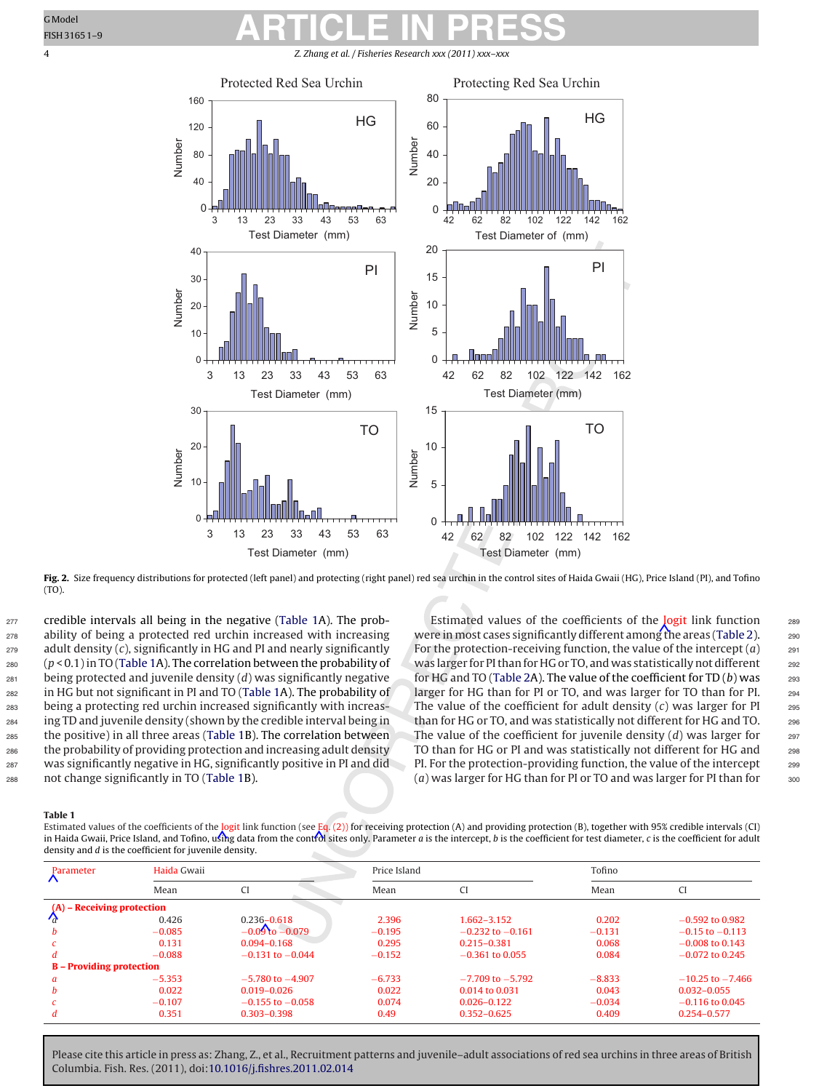<span id="page-4-0"></span>4 Z. Zhang et al. / Fisheries Research *xxx (2011) xxx–xxx*



**Fig. 2.** Size frequency distributions for protected (left panel) and protecting (right panel) red sea urchin in the control sites of Haida Gwaii (HG), Price Island (PI), and Tofino (TO).

277 credible intervals all being in the negative (Table 1A). The prob- ability of being a protected red urchin increased with increasing adult density  $(c)$ , significantly in HG and PI and nearly significantly ( $p < 0.1$ ) in TO (Table 1A). The correlation between the probability of being protected and juvenile density (d) was significantly negative in HG but not significant in PI and TO (Table 1A). The probability of being a protecting red urchin increased significantly with increas- ing TD and juvenile density (shown by the credible interval being in the positive) in all three areas (Table 1B). The correlation between the probability of providing protection and increasing adult density was significantly negative in HG, significantly positive in PI and did not change significantly in TO (Table 1B).

Estimated values of the coefficients of the logit link function 289 were in most cases significantly different among the areas [\(Table 2\).](#page-5-0) 290 For the protection-receiving function, the value of the intercept  $(a)$  291 was larger for PI than for HG or TO, and was statistically not different 292 for HG and TO ([Table 2A](#page-5-0)). The value of the coefficient for TD  $(b)$  was 293 larger for HG than for PI or TO, and was larger for TO than for PI. 294 The value of the coefficient for adult density  $(c)$  was larger for PI  $_{295}$ than for HG or TO, and was statistically not different for HG and TO. 296 The value of the coefficient for juvenile density  $(d)$  was larger for  $297$ TO than for HG or PI and was statistically not different for HG and 298 PI. For the protection-providing function, the value of the intercept 299  $(a)$  was larger for HG than for PI or TO and was larger for PI than for  $300$ 

#### **Table 1**

Estimated values of the coefficients of the logit link function (see Eq. [\(2\)\)](#page-2-0) for receiving protection (A) and providing protection (B), together with 95% credible intervals (CI) in Haida Gwaii, Price Island, and Tofino, using data from the control sites only. Parameter a is the intercept, b is the coefficient for test diameter, c is the coefficient for adult density and d is the coefficient for juvenile density.

| Parameter                       | Haida Gwaii |                      | Price Island |                      | Tofino   |                      |
|---------------------------------|-------------|----------------------|--------------|----------------------|----------|----------------------|
|                                 | Mean        | CI                   | Mean         | CI                   | Mean     | CI                   |
| $(A)$ – Receiving protection    |             |                      |              |                      |          |                      |
| $\mathcal{A}_{\mathcal{A}}$     | 0.426       | $0.236 - 0.618$      | 2.396        | $1.662 - 3.152$      | 0.202    | $-0.592$ to 0.982    |
|                                 | $-0.085$    | $-0.09$ to $-0.079$  | $-0.195$     | $-0.232$ to $-0.161$ | $-0.131$ | $-0.15$ to $-0.113$  |
|                                 | 0.131       | $0.094 - 0.168$      | 0.295        | $0.215 - 0.381$      | 0.068    | $-0.008$ to 0.143    |
|                                 | $-0.088$    | $-0.131$ to $-0.044$ | $-0.152$     | $-0.361$ to 0.055    | 0.084    | $-0.072$ to 0.245    |
| <b>B</b> – Providing protection |             |                      |              |                      |          |                      |
|                                 | $-5.353$    | $-5.780$ to $-4.907$ | $-6.733$     | $-7.709$ to $-5.792$ | $-8.833$ | $-10.25$ to $-7.466$ |
|                                 | 0.022       | $0.019 - 0.026$      | 0.022        | 0.014 to 0.031       | 0.043    | $0.032 - 0.055$      |
|                                 | $-0.107$    | $-0.155$ to $-0.058$ | 0.074        | $0.026 - 0.122$      | $-0.034$ | $-0.116$ to 0.045    |
|                                 | 0.351       | $0.303 - 0.398$      | 0.49         | $0.352 - 0.625$      | 0.409    | 0.254-0.577          |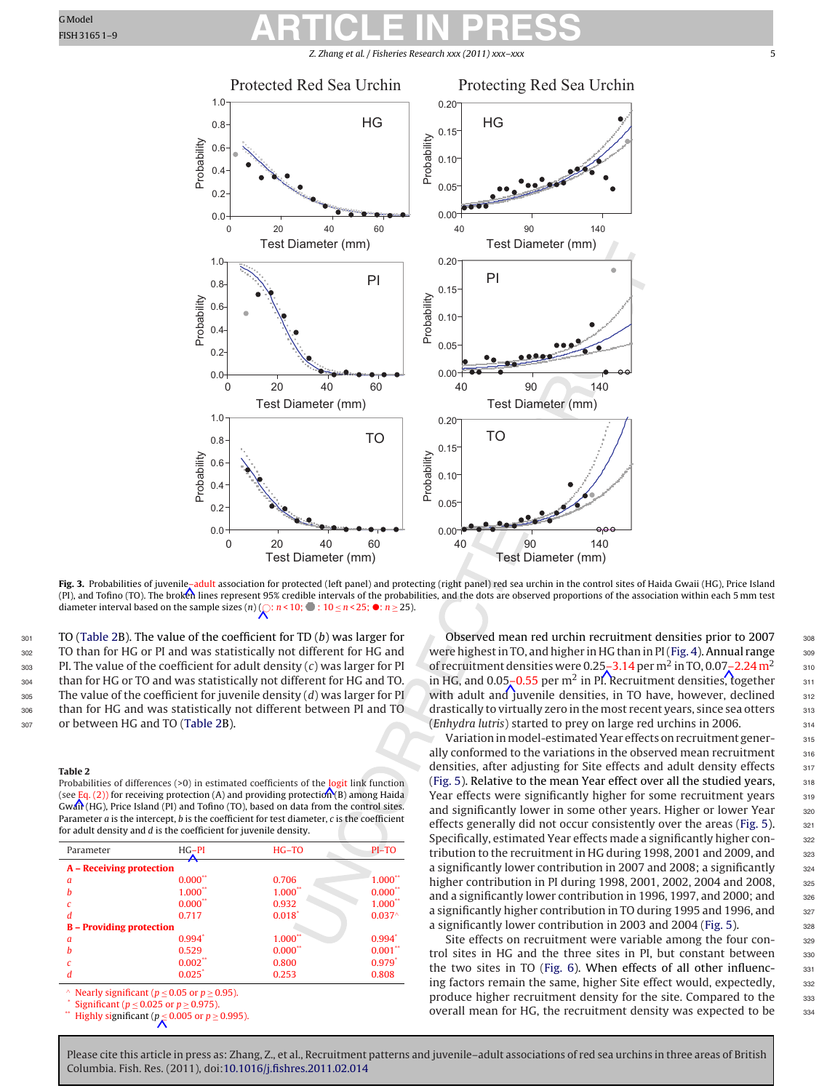Z. Zhang et al. / Fisheries Research *xxx (2011) xxx–xxx* 5

<span id="page-5-0"></span>

Fig. 3. Probabilities of juvenile<sub>r</sub>adult association for protected (left panel) and protecting (right panel) red sea urchin in the control sites of Haida Gwaii (HG), Price Island (PI), and Tofino (TO). The broken lines represent 95% credible intervals of the probabilities, and the dots are observed proportions of the association within each 5 mm test diameter interval based on the sample sizes (n) ( $\bigcirc$ : n < 10;  $\bullet$  : 10  $\leq$  n < 25;  $\bullet$ : n  $\geq$  25).

301 TO (Table 2B). The value of the coefficient for TD (b) was larger for TO than for HG or PI and was statistically not different for HG and PI. The value of the coefficient for adult density (c) was larger for PI than for HG or TO and was statistically not different for HG and TO. 305 The value of the coefficient for juvenile density (d) was larger for PI than for HG and was statistically not different between PI and TO or between HG and TO (Table 2B).

#### **Table 2**

Probabilities of differences (>0) in estimated coefficients of the logit link function (see  $Eq. (2)$ ) for receiving protection (A) and providing protection (B) among Haida Gwait (HG), Price Island (PI) and Tofino (TO), based on data from the control sites. Parameter  $a$  is the intercept,  $b$  is the coefficient for test diameter,  $c$  is the coefficient for adult density and d is the coefficient for juvenile density.

| Parameter                       | $HG-PI$              | $HG$ -TO              | $PI-TO$               |  |  |
|---------------------------------|----------------------|-----------------------|-----------------------|--|--|
| A - Receiving protection        |                      |                       |                       |  |  |
| a                               | $0.000$ **           | 0.706                 | $1.000^{\circ}$       |  |  |
|                                 | $1.000$ **           | 1.000"                | 0.000"                |  |  |
|                                 | $0.000$ **           | 0.932                 | $1.000**$             |  |  |
|                                 | 0.717                | $0.018^{*}$           | $0.037^$              |  |  |
| <b>B</b> – Providing protection |                      |                       |                       |  |  |
| a                               | $0.994$ <sup>*</sup> | $1.000**$             | $0.994*$              |  |  |
|                                 | 0.529                | $0.000$ <sup>**</sup> | $0.001$ <sup>**</sup> |  |  |
|                                 | $0.002$ **           | 0.800                 | $0.979^{*}$           |  |  |
|                                 | $0.025$ <sup>*</sup> | 0.253                 | 0.808                 |  |  |

Nearly significant ( $p \le 0.05$  or  $p \ge 0.95$ ).<br>Significant ( $p \le 0.025$  or  $p \ge 0.975$ ).<br>Highly significant ( $p \le 0.005$  or  $p \ge 0.995$ ).

Observed mean red urchin recruitment densities prior to 2007 308 were highest in TO, and higher in HG than in PI [\(Fig. 4\).](#page-6-0) Annual range 309 of recruitment densities were  $0.25-3.14$  per m<sup>2</sup> in TO,  $0.07-2.24$  m<sup>2</sup> 310 in HG, and  $0.05-0.55$  per m<sup>2</sup> in PI. Recruitment densities, together  $311$ with adult and juvenile densities, in TO have, however, declined 312 drastically to virtually zero in the most recent years, since sea otters  $313$  $(Enhydra lutris)$  started to prey on large red urchins in 2006.  $314$ 

Variation in model-estimated Year effects on recruitment gener-<br>315 ally conformed to the variations in the observed mean recruitment 316 densities, after adjusting for Site effects and adult density effects 317 [\(Fig. 5\).](#page-6-0) Relative to the mean Year effect over all the studied years,  $318$ Year effects were significantly higher for some recruitment years 319 and significantly lower in some other years. Higher or lower Year 320 effects generally did not occur consistently over the areas [\(Fig. 5\).](#page-6-0)  $\frac{321}{100}$ Specifically, estimated Year effects made a significantly higher con-  $322$ tribution to the recruitment in HG during 1998, 2001 and 2009, and  $323$ a significantly lower contribution in 2007 and 2008; a significantly  $\frac{324}{4}$ higher contribution in PI during 1998, 2001, 2002, 2004 and 2008, 325 and a significantly lower contribution in 1996, 1997, and 2000; and 326 a significantly higher contribution in TO during 1995 and 1996, and 327 a significantly lower contribution in 2003 and 2004 ([Fig. 5\).](#page-6-0) 328

Site effects on recruitment were variable among the four con-<br>329 trol sites in HG and the three sites in PI, but constant between 330 the two sites in TO [\(Fig. 6\).](#page-6-0) When effects of all other influenc- 331 ing factors remain the same, higher Site effect would, expectedly, 332 produce higher recruitment density for the site. Compared to the 333 overall mean for HG, the recruitment density was expected to be 334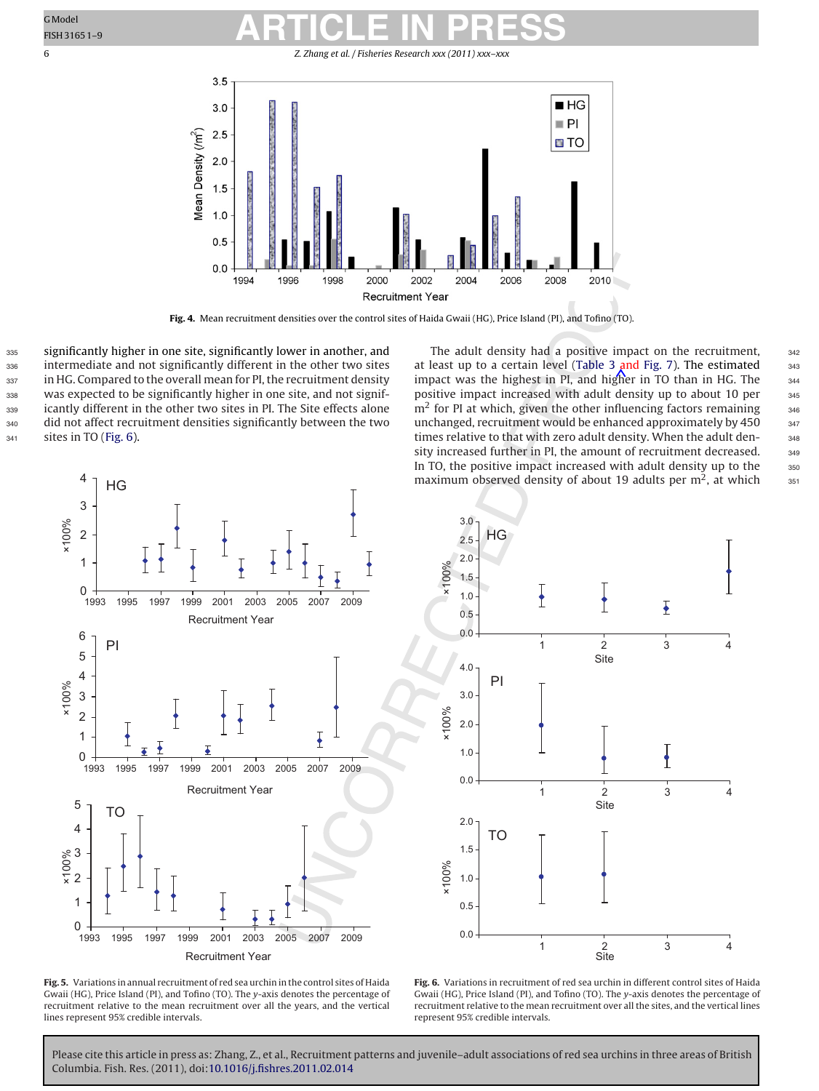<span id="page-6-0"></span>6 Z. Zhang et al. / Fisheries Research *xxx (2011) xxx–xxx*



**Fig. 4.** Mean recruitment densities over the control sites of Haida Gwaii (HG), Price Island (PI), and Tofino (TO).

 significantly higher in one site, significantly lower in another, and intermediate and not significantly different in the other two sites 337 in HG. Compared to the overall mean for PI, the recruitment density was expected to be significantly higher in one site, and not signif- icantly different in the other two sites in PI. The Site effects alone 340 did not affect recruitment densities significantly between the two sites in TO (Fig. 6).

The adult density had a positive impact on the recruitment, 342 at least up to a certain level [\(Table 3](#page-7-0) and [Fig. 7\).](#page-7-0) The estimated  $343$ impact was the highest in PI, and higher in TO than in HG. The 344 positive impact increased with adult density up to about 10 per 345  $m<sup>2</sup>$  for PI at which, given the other influencing factors remaining  $346$ unchanged, recruitment would be enhanced approximately by 450 347 times relative to that with zero adult density. When the adult den-<br>348 sity increased further in PI, the amount of recruitment decreased. 349 In TO, the positive impact increased with adult density up to the  $350$ maximum observed density of about 19 adults per  $m<sup>2</sup>$ , at which  $351$ 







**Fig. 5.** Variations in annual recruitment of red sea urchin in the control sites of Haida Gwaii (HG), Price Island (PI), and Tofino (TO). The y-axis denotes the percentage of recruitment relative to the mean recruitment over all the years, and the vertical lines represent 95% credible intervals.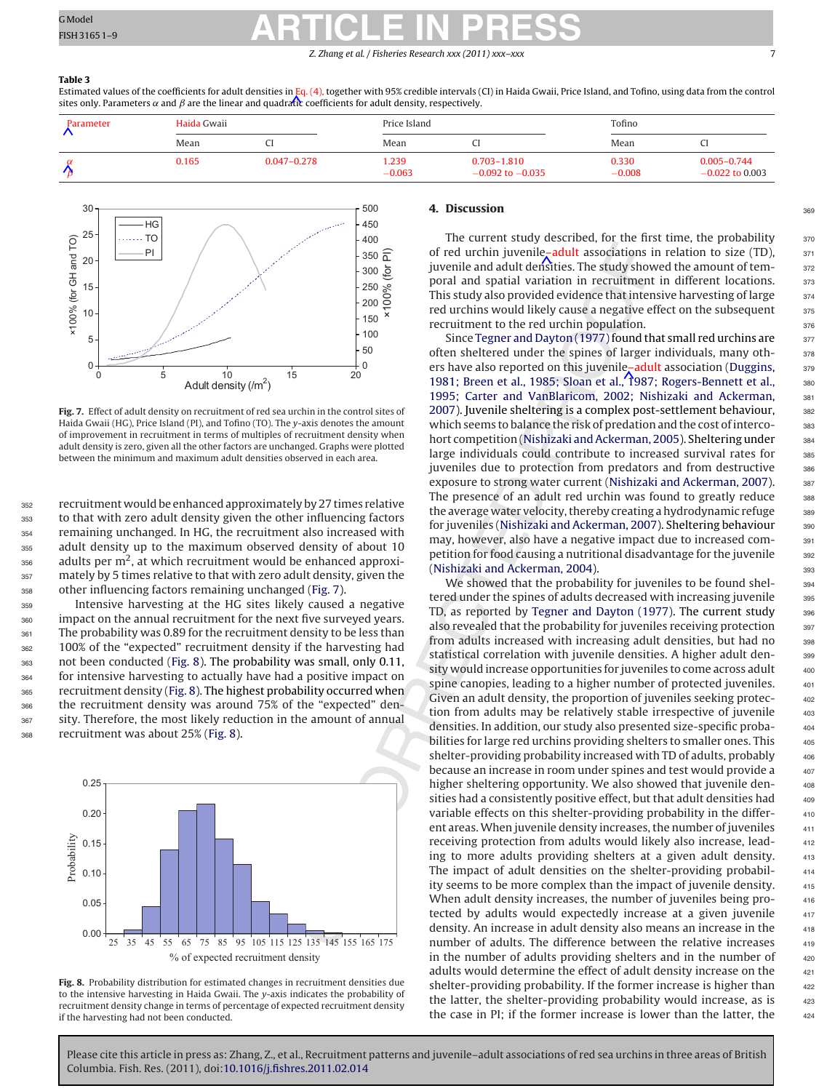## <span id="page-7-0"></span>GModel **ARTICLE IN PRESS** Z. Zhang et al. / Fisheries Research xxx (2011) xxx-

#### **Table 3**

Estimated values of the coefficients for adult densities in Eq. [\(4\),](#page-3-0) together with 95% credible intervals (CI) in Haida Gwaii, Price Island, and Tofino, using data from the control sites only. Parameters  $\alpha$  and  $\beta$  are the linear and quadratic coefficients for adult density, respectively.

| Parameter | Haida Gwaii |                 | Price Island      |                                         | Tofino            |                                      |
|-----------|-------------|-----------------|-------------------|-----------------------------------------|-------------------|--------------------------------------|
|           | Mean        |                 | Mean              |                                         | Mean              |                                      |
|           | 0.165       | $0.047 - 0.278$ | 1.239<br>$-0.063$ | $0.703 - 1.810$<br>$-0.092$ to $-0.035$ | 0.330<br>$-0.008$ | $0.005 - 0.744$<br>$-0.022$ to 0.003 |



**Fig. 7.** Effect of adult density on recruitment of red sea urchin in the control sites of Haida Gwaii (HG), Price Island (PI), and Tofino (TO). The y-axis denotes the amount of improvement in recruitment in terms of multiples of recruitment density when adult density is zero, given all the other factors are unchanged. Graphs were plotted between the minimum and maximum adult densities observed in each area.

 recruitment would be enhanced approximately by 27 times relative to that with zero adult density given the other influencing factors remaining unchanged. In HG, the recruitment also increased with adult density up to the maximum observed density of about 10  $_{356}$  adults per m<sup>2</sup>, at which recruitment would be enhanced approxi- mately by 5 times relative to that with zero adult density, given the other influencing factors remaining unchanged (Fig. 7).

 Intensive harvesting at the HG sites likely caused a negative 360 impact on the annual recruitment for the next five surveyed years. The probability was 0.89 for the recruitment density to be less than 100% of the "expected" recruitment density if the harvesting had not been conducted (Fig. 8). The probability was small, only 0.11, for intensive harvesting to actually have had a positive impact on recruitment density (Fig. 8). The highest probability occurred when the recruitment density was around 75% of the "expected" den-367 sity. Therefore, the most likely reduction in the amount of annual recruitment was about 25% (Fig. 8).



**Fig. 8.** Probability distribution for estimated changes in recruitment densities due to the intensive harvesting in Haida Gwaii. The y-axis indicates the probability of recruitment density change in terms of percentage of expected recruitment density if the harvesting had not been conducted.

### **4. Discussion**

The current study described, for the first time, the probability  $370$ of red urchin juvenile-adult associations in relation to size (TD),  $371$ juvenile and adult densities. The study showed the amount of tem-  $372$ poral and spatial variation in recruitment in different locations. 373 This study also provided evidence that intensive harvesting of large  $374$ red urchins would likely cause a negative effect on the subsequent 375 recruitment to the red urchin population.

Since Tegner and Dayton (1977) found that small red urchins are  $377$ often sheltered under the spines of larger individuals, many oth- <sup>378</sup> ers have also reported on this juvenile–adult association ([Duggins,](#page-9-0) <sup>379</sup> [1981; Breen et al., 1985; Sloan et al., 1987; Rogers-Bennett et al.,](#page-9-0) 380 [1995; Carter and VanBlaricom, 2002; Nishizaki and Ackerman,](#page-9-0) 381 [2007\).](#page-9-0) Juvenile sheltering is a complex post-settlement behaviour, assetting which seems to balance the risk of predation and the cost of interco-<br>383 hort competition ([Nishizaki and Ackerman, 2005\).](#page-9-0) Sheltering under 384 large individuals could contribute to increased survival rates for 385 juveniles due to protection from predators and from destructive 386 exposure to strong water current [\(Nishizaki and Ackerman, 2007\).](#page-9-0) 387 The presence of an adult red urchin was found to greatly reduce 388 the average water velocity, thereby creating a hydrodynamic refuge 389 for juveniles ([Nishizaki and Ackerman, 2007\).](#page-9-0) Sheltering behaviour 390 may, however, also have a negative impact due to increased com-<br>391 petition for food causing a nutritional disadvantage for the juvenile 392 [\(Nishizaki and Ackerman, 2004\).](#page-9-0)  $\frac{393}{2}$ 

We showed that the probability for juveniles to be found shel-<br>394 tered under the spines of adults decreased with increasing juvenile 395 TD, as reported by [Tegner and Dayton \(1977\).](#page-9-0) The current study 396 also revealed that the probability for juveniles receiving protection 397 from adults increased with increasing adult densities, but had no 398 statistical correlation with juvenile densities. A higher adult den-<br>399 sity would increase opportunities for juveniles to come across adult  $400$ spine canopies, leading to a higher number of protected juveniles.  $401$ Given an adult density, the proportion of juveniles seeking protec-<br>402 tion from adults may be relatively stable irrespective of juvenile  $403$ densities. In addition, our study also presented size-specific proba- <sup>404</sup> bilities for large red urchins providing shelters to smaller ones. This  $405$ shelter-providing probability increased with TD of adults, probably  $406$ because an increase in room under spines and test would provide a  $407$ higher sheltering opportunity. We also showed that juvenile den-  $408$ sities had a consistently positive effect, but that adult densities had  $408$ variable effects on this shelter-providing probability in the differ-<br>410 ent areas. When juvenile density increases, the number of juveniles  $411$ receiving protection from adults would likely also increase, lead-<br>412 ing to more adults providing shelters at a given adult density.  $413$ The impact of adult densities on the shelter-providing probabil-<br>414 ity seems to be more complex than the impact of juvenile density.  $415$ When adult density increases, the number of juveniles being pro-<br>416 tected by adults would expectedly increase at a given juvenile  $417$ density. An increase in adult density also means an increase in the  $418$ number of adults. The difference between the relative increases 419 in the number of adults providing shelters and in the number of 420 adults would determine the effect of adult density increase on the  $421$ shelter-providing probability. If the former increase is higher than  $422$ the latter, the shelter-providing probability would increase, as is  $423$ the case in PI; if the former increase is lower than the latter, the  $424$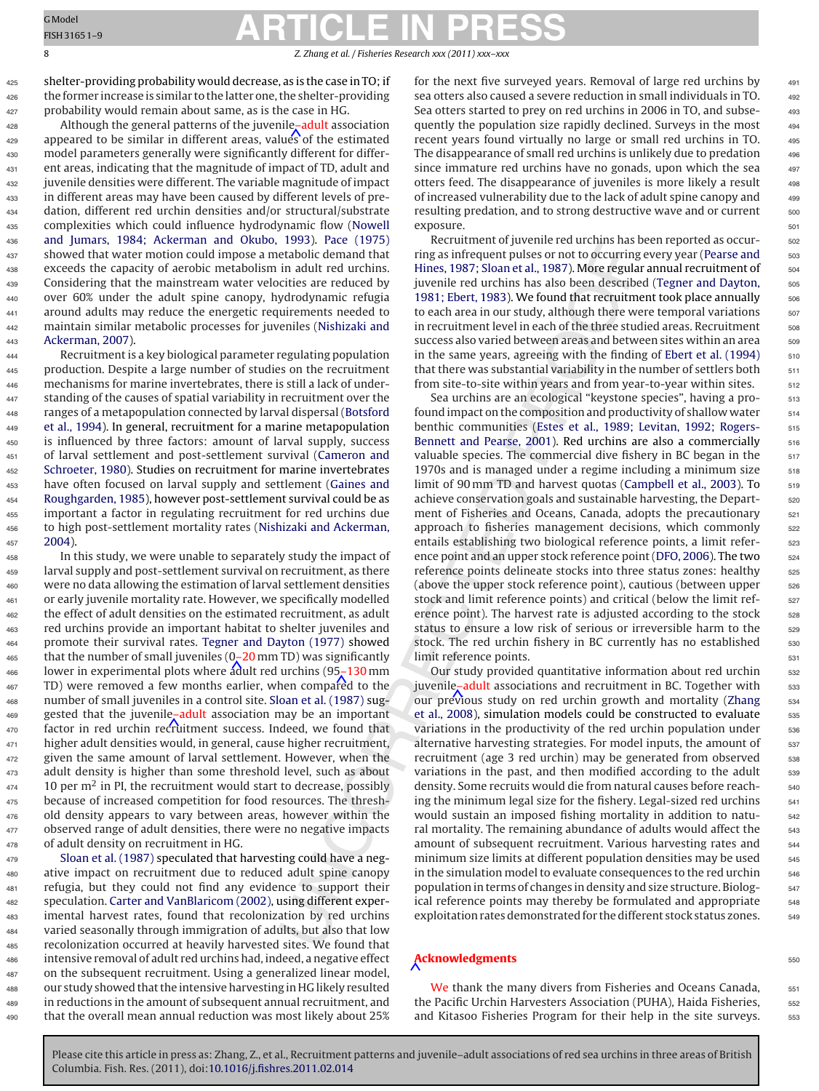8 Z. Zhang et al. / Fisheries Research *xxx (2011) xxx–xxx*

<sup>425</sup> shelter-providing probability would decrease, as is the case in TO; if 426 the former increase is similar to the latter one, the shelter-providing <sup>427</sup> probability would remain about same, as is the case in HG.

428 Although the general patterns of the juvenile-adult association 429 appeared to be similar in different areas, values of the estimated model parameters generally were significantly different for differ- ent areas, indicating that the magnitude of impact of TD, adult and juvenile densities were different. The variable magnitude of impact in different areas may have been caused by different levels of pre- dation, different red urchin densities and/or structural/substrate complexities which could influence hydrodynamic flow [\(Nowell](#page-9-0) [and Jumars, 1984; Ackerman and Okubo, 1993\).](#page-9-0) [Pace \(1975\)](#page-9-0) showed that water motion could impose a metabolic demand that exceeds the capacity of aerobic metabolism in adult red urchins. Considering that the mainstream water velocities are reduced by over 60% under the adult spine canopy, hydrodynamic refugia around adults may reduce the energetic requirements needed to maintain similar metabolic processes for juveniles [\(Nishizaki and](#page-9-0) [Ackerman, 2007\).](#page-9-0)

 Recruitment is a key biological parameter regulating population production. Despite a large number of studies on the recruitment mechanisms for marine invertebrates, there is still a lack of under- standing of the causes of spatial variability in recruitment over the ranges of a metapopulation connected by larval dispersal [\(Botsford](#page-9-0) [et al., 1994\).](#page-9-0) In general, recruitment for a marine metapopulation is influenced by three factors: amount of larval supply, success of larval settlement and post-settlement survival [\(Cameron and](#page-9-0) [Schroeter, 1980\).](#page-9-0) Studies on recruitment for marine invertebrates have often focused on larval supply and settlement [\(Gaines and](#page-9-0) [Roughgarden, 1985\),](#page-9-0) however post-settlement survival could be as important a factor in regulating recruitment for red urchins due to high post-settlement mortality rates [\(Nishizaki and Ackerman,](#page-9-0) <sup>457</sup> [2004\).](#page-9-0)

 In this study, we were unable to separately study the impact of larval supply and post-settlement survival on recruitment, as there were no data allowing the estimation of larval settlement densities or early juvenile mortality rate. However, we specifically modelled the effect of adult densities on the estimated recruitment, as adult red urchins provide an important habitat to shelter juveniles and promote their survival rates. [Tegner and Dayton \(1977\)](#page-9-0) showed 465 that the number of small juveniles  $(0, 20$  mm TD) was significantly lower in experimental plots where adult red urchins (95 $-130$  mm <sup>467</sup> TD) were removed a few months earlier, when compared to the number of small juveniles in a control site. [Sloan et al. \(1987\)](#page-9-0) sug- gested that the juvenile–adult association may be an important 470 factor in red urchin recruitment success. Indeed, we found that 471 higher adult densities would, in general, cause higher recruitment, 472 given the same amount of larval settlement. However, when the 473 adult density is higher than some threshold level, such as about per m<sup>2</sup> in PI, the recruitment would start to decrease, possibly 475 because of increased competition for food resources. The thresh- old density appears to vary between areas, however within the 477 observed range of adult densities, there were no negative impacts of adult density on recruitment in HG.

 [Sloan et al. \(1987\)](#page-9-0) speculated that harvesting could have a neg- ative impact on recruitment due to reduced adult spine canopy refugia, but they could not find any evidence to support their speculation. [Carter and VanBlaricom \(2002\), u](#page-9-0)sing different exper- imental harvest rates, found that recolonization by red urchins varied seasonally through immigration of adults, but also that low recolonization occurred at heavily harvested sites. We found that intensive removal of adult red urchins had, indeed, a negative effect on the subsequent recruitment. Using a generalized linear model, our study showed that the intensive harvesting in HG likely resulted in reductions in the amount of subsequent annual recruitment, and that the overall mean annual reduction was most likely about 25%

for the next five surveyed years. Removal of large red urchins by  $491$ sea otters also caused a severe reduction in small individuals in TO. <sup>492</sup> Sea otters started to prey on red urchins in 2006 in TO, and subse- <sup>493</sup> quently the population size rapidly declined. Surveys in the most  $494$ recent years found virtually no large or small red urchins in TO. 495 The disappearance of small red urchins is unlikely due to predation  $496$ since immature red urchins have no gonads, upon which the sea  $497$ otters feed. The disappearance of juveniles is more likely a result  $498$ of increased vulnerability due to the lack of adult spine canopy and <sup>499</sup> resulting predation, and to strong destructive wave and or current  $\qquad$ exposure. 501

Recruitment of juvenile red urchins has been reported as occur-<br><sub>502</sub> ring as infrequent pulses or not to occurring every year [\(Pearse and](#page-9-0)  $_{503}$ [Hines, 1987; Sloan et al., 1987\).](#page-9-0) More regular annual recruitment of 504 juvenile red urchins has also been described ([Tegner and Dayton,](#page-9-0) sos [1981; Ebert, 1983\).](#page-9-0) We found that recruitment took place annually  $_{506}$ to each area in our study, although there were temporal variations  $\frac{507}{200}$ in recruitment level in each of the three studied areas. Recruitment some success also varied between areas and between sites within an area  $\qquad$ in the same years, agreeing with the finding of [Ebert et al. \(1994\)](#page-9-0) that there was substantial variability in the number of settlers both from site-to-site within years and from year-to-year within sites.  $\frac{512}{2}$ 

Sea urchins are an ecological "keystone species", having a pro-<br>
<sub>513</sub> found impact on the composition and productivity of shallow water  $514$ benthic communities ([Estes et al., 1989; Levitan, 1992; Rogers-](#page-9-0)<br>515 Bennett [and Pearse, 2001\).](#page-9-0) Red urchins are also a commercially 516 valuable species. The commercial dive fishery in BC began in the 517 1970s and is managed under a regime including a minimum size 518 limit of 90 mm TD and harvest quotas [\(Campbell et al., 2003\).](#page-9-0) To 519 achieve conservation goals and sustainable harvesting, the Department of Fisheries and Oceans, Canada, adopts the precautionary 521 approach to fisheries management decisions, which commonly s22 entails establishing two biological reference points, a limit refer-<br>s23 ence point and an upper stock reference point [\(DFO, 2006\).](#page-9-0) The two s<sub>524</sub> reference points delineate stocks into three status zones: healthy s25 (above the upper stock reference point), cautious (between upper  $526$ stock and limit reference points) and critical (below the limit ref-  $\frac{1}{2}$  527 erence point). The harvest rate is adjusted according to the stock  $528$ status to ensure a low risk of serious or irreversible harm to the 529 stock. The red urchin fishery in BC currently has no established 530 limit reference points. The state of the state of the state of the state of the state of the state of the state of the state of the state of the state of the state of the state of the state of the state of the state of the

Our study provided quantitative information about red urchin 532 juvenile–adult associations and recruitment in BC. Together with 533 our previous study on red urchin growth and mortality [\(Zhang](#page-9-0) 534 [et al., 2008\),](#page-9-0) simulation models could be constructed to evaluate  $\frac{1}{535}$ variations in the productivity of the red urchin population under  $\frac{1}{536}$ alternative harvesting strategies. For model inputs, the amount of s37 recruitment (age 3 red urchin) may be generated from observed s38 variations in the past, and then modified according to the adult 539 density. Some recruits would die from natural causes before reach-<br>540 ing the minimum legal size for the fishery. Legal-sized red urchins  $_{541}$ would sustain an imposed fishing mortality in addition to natu-<br>
<sub>542</sub> ral mortality. The remaining abundance of adults would affect the 543 amount of subsequent recruitment. Various harvesting rates and  $_{544}$ minimum size limits at different population densities may be used  $_{545}$ in the simulation model to evaluate consequences to the red urchin  $_{546}$ population in terms of changes in density and size structure. Biolog- <sup>547</sup> ical reference points may thereby be formulated and appropriate  $\frac{548}{9}$ exploitation rates demonstrated for the different stock status zones.  $\frac{548}{549}$ 

## **Acknowledgments** 550

We thank the many divers from Fisheries and Oceans Canada, 551 the Pacific Urchin Harvesters Association (PUHA), Haida Fisheries, 552 and Kitasoo Fisheries Program for their help in the site surveys.  $\frac{553}{2}$